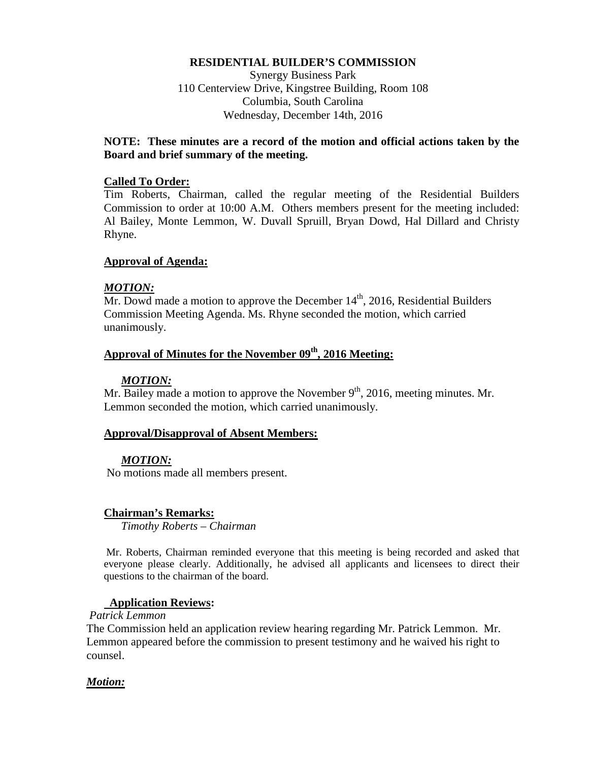### **RESIDENTIAL BUILDER'S COMMISSION**

Synergy Business Park 110 Centerview Drive, Kingstree Building, Room 108 Columbia, South Carolina Wednesday, December 14th, 2016

### **NOTE: These minutes are a record of the motion and official actions taken by the Board and brief summary of the meeting.**

#### **Called To Order:**

Tim Roberts, Chairman, called the regular meeting of the Residential Builders Commission to order at 10:00 A.M. Others members present for the meeting included: Al Bailey, Monte Lemmon, W. Duvall Spruill, Bryan Dowd, Hal Dillard and Christy Rhyne.

#### **Approval of Agenda:**

#### *MOTION:*

 $\overline{Mr}$ . Dowd made a motion to approve the December 14<sup>th</sup>, 2016, Residential Builders Commission Meeting Agenda. Ms. Rhyne seconded the motion, which carried unanimously.

### Approval of Minutes for the November 09<sup>th</sup>, 2016 Meeting:

#### *MOTION:*

Mr. Bailey made a motion to approve the November  $9<sup>th</sup>$ , 2016, meeting minutes. Mr. Lemmon seconded the motion, which carried unanimously.

#### **Approval/Disapproval of Absent Members:**

### *MOTION:*

No motions made all members present.

### **Chairman's Remarks:**

*Timothy Roberts – Chairman*

Mr. Roberts, Chairman reminded everyone that this meeting is being recorded and asked that everyone please clearly. Additionally, he advised all applicants and licensees to direct their questions to the chairman of the board.

#### **Application Reviews:**

*Patrick Lemmon*

The Commission held an application review hearing regarding Mr. Patrick Lemmon. Mr. Lemmon appeared before the commission to present testimony and he waived his right to counsel.

#### *Motion:*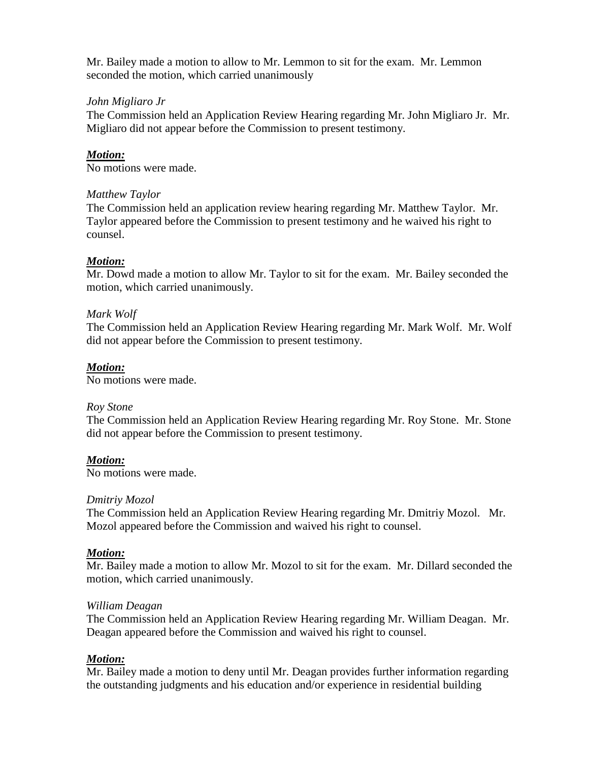Mr. Bailey made a motion to allow to Mr. Lemmon to sit for the exam. Mr. Lemmon seconded the motion, which carried unanimously

### *John Migliaro Jr*

The Commission held an Application Review Hearing regarding Mr. John Migliaro Jr. Mr. Migliaro did not appear before the Commission to present testimony.

## *Motion:*

No motions were made.

### *Matthew Taylor*

The Commission held an application review hearing regarding Mr. Matthew Taylor. Mr. Taylor appeared before the Commission to present testimony and he waived his right to counsel.

### *Motion:*

Mr. Dowd made a motion to allow Mr. Taylor to sit for the exam. Mr. Bailey seconded the motion, which carried unanimously.

### *Mark Wolf*

The Commission held an Application Review Hearing regarding Mr. Mark Wolf. Mr. Wolf did not appear before the Commission to present testimony.

### *Motion:*

No motions were made.

### *Roy Stone*

The Commission held an Application Review Hearing regarding Mr. Roy Stone. Mr. Stone did not appear before the Commission to present testimony.

### *Motion:*

No motions were made.

### *Dmitriy Mozol*

The Commission held an Application Review Hearing regarding Mr. Dmitriy Mozol. Mr. Mozol appeared before the Commission and waived his right to counsel.

### *Motion:*

Mr. Bailey made a motion to allow Mr. Mozol to sit for the exam. Mr. Dillard seconded the motion, which carried unanimously.

### *William Deagan*

The Commission held an Application Review Hearing regarding Mr. William Deagan. Mr. Deagan appeared before the Commission and waived his right to counsel.

### *Motion:*

Mr. Bailey made a motion to deny until Mr. Deagan provides further information regarding the outstanding judgments and his education and/or experience in residential building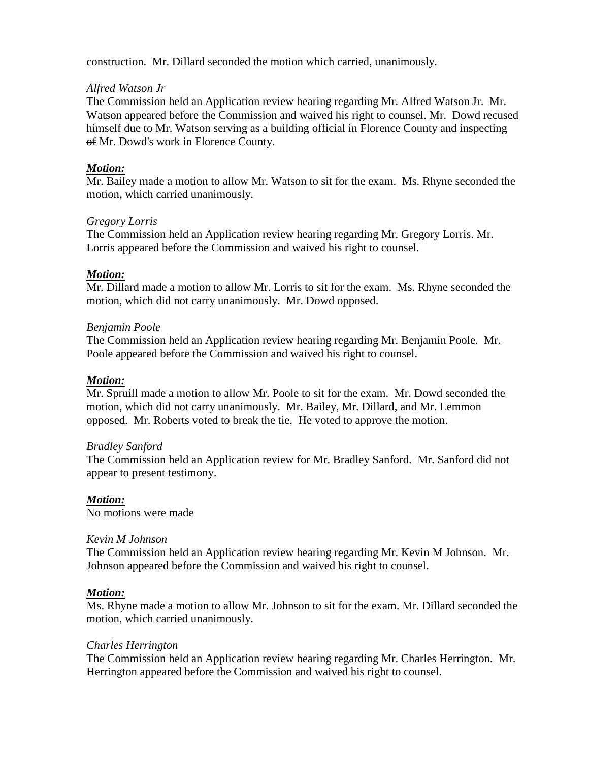construction. Mr. Dillard seconded the motion which carried, unanimously.

## *Alfred Watson Jr*

The Commission held an Application review hearing regarding Mr. Alfred Watson Jr. Mr. Watson appeared before the Commission and waived his right to counsel. Mr. Dowd recused himself due to Mr. Watson serving as a building official in Florence County and inspecting of Mr. Dowd's work in Florence County.

## *Motion:*

Mr. Bailey made a motion to allow Mr. Watson to sit for the exam. Ms. Rhyne seconded the motion, which carried unanimously.

### *Gregory Lorris*

The Commission held an Application review hearing regarding Mr. Gregory Lorris. Mr. Lorris appeared before the Commission and waived his right to counsel.

## *Motion:*

Mr. Dillard made a motion to allow Mr. Lorris to sit for the exam. Ms. Rhyne seconded the motion, which did not carry unanimously. Mr. Dowd opposed.

## *Benjamin Poole*

The Commission held an Application review hearing regarding Mr. Benjamin Poole. Mr. Poole appeared before the Commission and waived his right to counsel.

## *Motion:*

Mr. Spruill made a motion to allow Mr. Poole to sit for the exam. Mr. Dowd seconded the motion, which did not carry unanimously. Mr. Bailey, Mr. Dillard, and Mr. Lemmon opposed. Mr. Roberts voted to break the tie. He voted to approve the motion.

### *Bradley Sanford*

The Commission held an Application review for Mr. Bradley Sanford. Mr. Sanford did not appear to present testimony.

### *Motion:*

No motions were made

### *Kevin M Johnson*

The Commission held an Application review hearing regarding Mr. Kevin M Johnson. Mr. Johnson appeared before the Commission and waived his right to counsel.

### *Motion:*

Ms. Rhyne made a motion to allow Mr. Johnson to sit for the exam. Mr. Dillard seconded the motion, which carried unanimously.

### *Charles Herrington*

The Commission held an Application review hearing regarding Mr. Charles Herrington. Mr. Herrington appeared before the Commission and waived his right to counsel.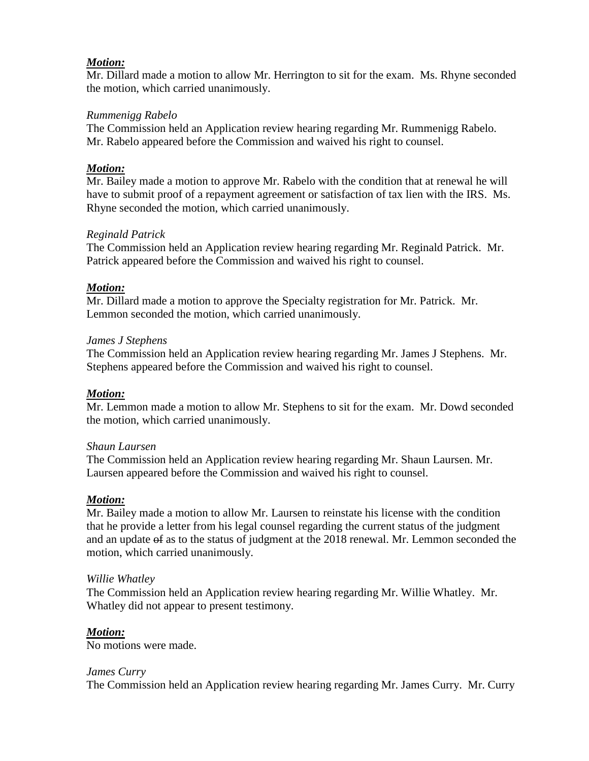## *Motion:*

Mr. Dillard made a motion to allow Mr. Herrington to sit for the exam. Ms. Rhyne seconded the motion, which carried unanimously.

### *Rummenigg Rabelo*

The Commission held an Application review hearing regarding Mr. Rummenigg Rabelo. Mr. Rabelo appeared before the Commission and waived his right to counsel.

## *Motion:*

Mr. Bailey made a motion to approve Mr. Rabelo with the condition that at renewal he will have to submit proof of a repayment agreement or satisfaction of tax lien with the IRS. Ms. Rhyne seconded the motion, which carried unanimously.

## *Reginald Patrick*

The Commission held an Application review hearing regarding Mr. Reginald Patrick. Mr. Patrick appeared before the Commission and waived his right to counsel.

## *Motion:*

Mr. Dillard made a motion to approve the Specialty registration for Mr. Patrick. Mr. Lemmon seconded the motion, which carried unanimously.

### *James J Stephens*

The Commission held an Application review hearing regarding Mr. James J Stephens. Mr. Stephens appeared before the Commission and waived his right to counsel.

# *Motion:*

Mr. Lemmon made a motion to allow Mr. Stephens to sit for the exam. Mr. Dowd seconded the motion, which carried unanimously.

### *Shaun Laursen*

The Commission held an Application review hearing regarding Mr. Shaun Laursen. Mr. Laursen appeared before the Commission and waived his right to counsel.

# *Motion:*

Mr. Bailey made a motion to allow Mr. Laursen to reinstate his license with the condition that he provide a letter from his legal counsel regarding the current status of the judgment and an update of as to the status of judgment at the 2018 renewal. Mr. Lemmon seconded the motion, which carried unanimously.

### *Willie Whatley*

The Commission held an Application review hearing regarding Mr. Willie Whatley. Mr. Whatley did not appear to present testimony.

# *Motion:*

No motions were made.

### *James Curry*

The Commission held an Application review hearing regarding Mr. James Curry. Mr. Curry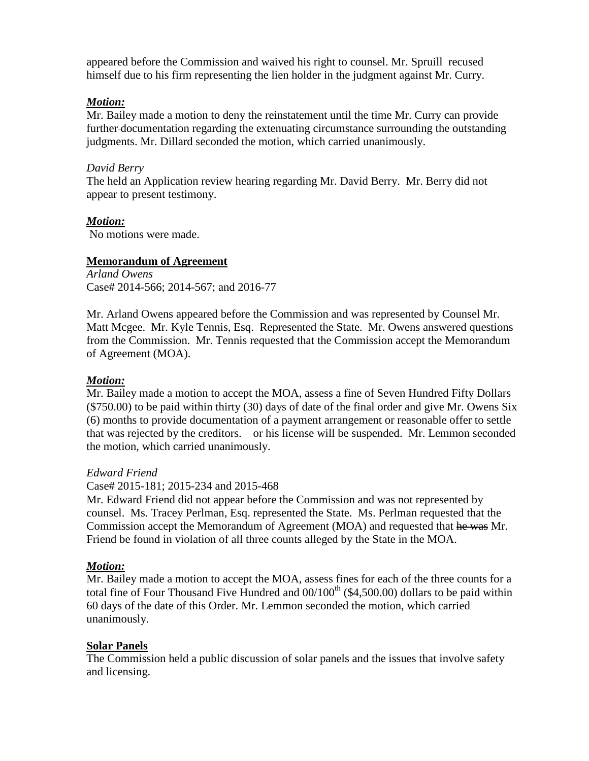appeared before the Commission and waived his right to counsel. Mr. Spruill recused himself due to his firm representing the lien holder in the judgment against Mr. Curry.

### *Motion:*

Mr. Bailey made a motion to deny the reinstatement until the time Mr. Curry can provide further documentation regarding the extenuating circumstance surrounding the outstanding judgments. Mr. Dillard seconded the motion, which carried unanimously.

### *David Berry*

The held an Application review hearing regarding Mr. David Berry. Mr. Berry did not appear to present testimony.

### *Motion:*

No motions were made.

### **Memorandum of Agreement**

*Arland Owens*  Case# 2014-566; 2014-567; and 2016-77

Mr. Arland Owens appeared before the Commission and was represented by Counsel Mr. Matt Mcgee. Mr. Kyle Tennis, Esq. Represented the State. Mr. Owens answered questions from the Commission. Mr. Tennis requested that the Commission accept the Memorandum of Agreement (MOA).

### *Motion:*

Mr. Bailey made a motion to accept the MOA, assess a fine of Seven Hundred Fifty Dollars  $(\$750.00)$  to be paid within thirty (30) days of date of the final order and give Mr. Owens Six (6) months to provide documentation of a payment arrangement or reasonable offer to settle that was rejected by the creditors. or his license will be suspended. Mr. Lemmon seconded the motion, which carried unanimously.

#### *Edward Friend*

Case# 2015-181; 2015-234 and 2015-468

Mr. Edward Friend did not appear before the Commission and was not represented by counsel. Ms. Tracey Perlman, Esq. represented the State. Ms. Perlman requested that the Commission accept the Memorandum of Agreement (MOA) and requested that he was Mr. Friend be found in violation of all three counts alleged by the State in the MOA.

#### *Motion:*

Mr. Bailey made a motion to accept the MOA, assess fines for each of the three counts for a total fine of Four Thousand Five Hundred and  $00/100<sup>th</sup>$  (\$4,500.00) dollars to be paid within 60 days of the date of this Order. Mr. Lemmon seconded the motion, which carried unanimously.

### **Solar Panels**

The Commission held a public discussion of solar panels and the issues that involve safety and licensing.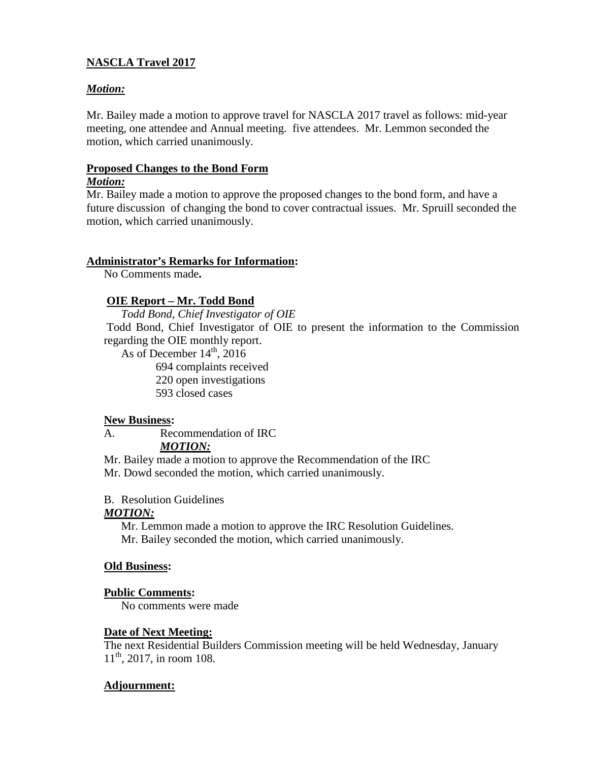# **NASCLA Travel 2017**

## *Motion:*

Mr. Bailey made a motion to approve travel for NASCLA 2017 travel as follows: mid-year meeting, one attendee and Annual meeting. five attendees. Mr. Lemmon seconded the motion, which carried unanimously.

### **Proposed Changes to the Bond Form** *Motion:*

Mr. Bailey made a motion to approve the proposed changes to the bond form, and have a future discussion of changing the bond to cover contractual issues. Mr. Spruill seconded the motion, which carried unanimously.

### **Administrator's Remarks for Information:**

No Comments made**.** 

# **OIE Report – Mr. Todd Bond**

*Todd Bond, Chief Investigator of OIE*

Todd Bond, Chief Investigator of OIE to present the information to the Commission regarding the OIE monthly report.

As of December  $14<sup>th</sup>$ , 2016 complaints received open investigations closed cases

## **New Business:**

A. Recommendation of IRC

# *MOTION:*

Mr. Bailey made a motion to approve the Recommendation of the IRC Mr. Dowd seconded the motion, which carried unanimously.

### B. Resolution Guidelines

### *MOTION:*

Mr. Lemmon made a motion to approve the IRC Resolution Guidelines. Mr. Bailey seconded the motion, which carried unanimously.

### **Old Business:**

### **Public Comments:**

No comments were made

### **Date of Next Meeting:**

The next Residential Builders Commission meeting will be held Wednesday, January  $11<sup>th</sup>$ , 2017, in room 108.

### **Adjournment:**